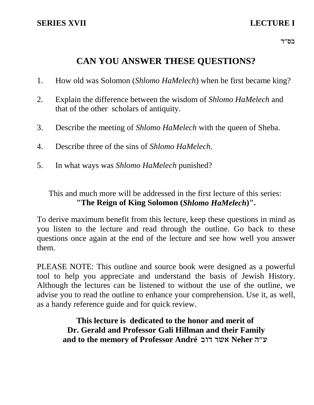רס"ד $\,$ 

# **CAN YOU ANSWER THESE QUESTIONS?**

- 1. How old was Solomon (*Shlomo HaMelech*) when he first became king?
- 2. Explain the difference between the wisdom of *Shlomo HaMelech* and that of the other scholars of antiquity.
- 3. Describe the meeting of *Shlomo HaMelech* with the queen of Sheba.
- 4. Describe three of the sins of *Shlomo HaMelech*.
- 5. In what ways was *Shlomo HaMelech* punished?

This and much more will be addressed in the first lecture of this series: **"The Reign of King Solomon (***Shlomo HaMelech***)".**

To derive maximum benefit from this lecture, keep these questions in mind as you listen to the lecture and read through the outline. Go back to these questions once again at the end of the lecture and see how well you answer them.

PLEASE NOTE: This outline and source book were designed as a powerful tool to help you appreciate and understand the basis of Jewish History. Although the lectures can be listened to without the use of the outline, we advise you to read the outline to enhance your comprehension. Use it, as well, as a handy reference guide and for quick review.

> **This lecture is dedicated to the honor and merit of Dr. Gerald and Professor Gali Hillman and their Family** and to the memory of Professor André אשר דוב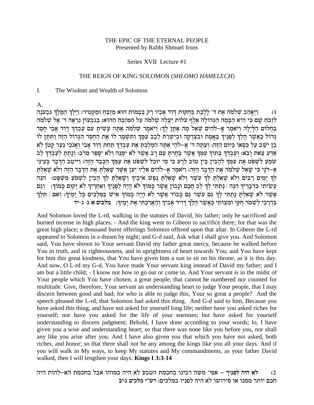#### THE EPIC OF THE ETERNAL PEOPLE Presented by Rabbi Shmuel Irons

#### Series XVII Lecture #1

#### THE REIGN OF KING SOLOMON (SHLOMO HAMELECH)

 $\mathbf{I}$ . The Wisdom and Wealth of Solomon

 $A_{\cdot}$ 

וַיַּאֲהָב שִׁלֹמֹה אֶת ד׳ לַלֵּכֶת בְּחִקּוֹת דָּוָד אַבְיו רַק בַּבַּמוֹת הוּא מְזַבֵּחָ וּמַקְטִיר: וַיֵּלֵךְ הַמֵּלֵךְ גִּבְעֹנָה  $(1)$ לְזְבֹּחַ שָׁם כִּי הִיא הַבָּמָה הַגִּדוֹלָה אֲלֵף עֹלוֹת יַעֲלֵה שִׁלֹמֹה עַל הַמְזְבֵּחַ הַהוּא: בִּגְבְעוֹן נִרְאָה ד' אֵל שִׁלֹמֹה בַּחֲלוֹם הַלַּיְלַה וַיֹּאמֶר אֵ–לֹהִים שָׁאֲל מָה אֶתֶּן לַךְ: וַיֹּאמֶר שָׁלֹמֹה אַתָּה עַשִׂיתַ עִם עַבְדִּךְ דָוִד אָבִי חֶסֶד גָרוֹל כַּאֲשֶׁר הָלַךְ לִפָּנֵיךְ בִּאֲמֶת וּבִצְדָקָה וּבִיִשְׁרַת לֵבָב עִמָּךְ וַתְּשָׁמָר לוֹ אֶת הַחֵסֶד הַגָּדוֹל הַזֵּה וַתִּתֵּן לוֹ בֵן יֹשֵׁב עַל כְּסְאוֹ כַּיּוֹם הַזֶּה: וְעַתָּה ד׳ אֵ-לֹהָי אַתָּה הִמְלַכְתָּ אֶת עַבְדִּךְ תַּחַת דַּוְד אָבִי וְאָנֹכִי נַעַר קַטֹן לֹא אַדע צֵאת וָבֹא: וְעַבְדְּךָ בְּתוֹךְ עַמְּךָ אֲשֶׁר בָּחָרִתָּ עַם רָב אֲשֶׁר לֹא יִמָּנָה וְלֹא יִסָפֵר מֵרֹב: וְנָתַתַּ לִעַבְדִּךְ לֵב שֹמֵעַ לְשִׁפֹּט אֶת עַמְךָ לְהַבְין בֵּין טוֹב לְרַע כִּי מִי יוּכַל לְשִׁפּט אֶת עַמְךָ הַכָּבֶד הַזֶּה: וַיִּיטַב הַדָּבָר בְּעֵינֵי אָ–דֹנָי כִּי שָׁאַל שְׁלֹמֹה אֶת הַדְּבָר הַזֶּה: וַיֹּאמֶר אֶ–לֹהִים אֵלְיו יַעַן אֲשֶׁר שָׁאַלְתָּ אֶת הַדְּבָר הַזֶּה וְלֹא שָׂאַלְתָּ לְךְ יָמִים רַבִּים וְלֹא שָׁאַלְתַּ לְךְ עֹשֶׁר וְלֹא שָׁאַלְתָּ נִפְשׁ אֹיְבֵיךְ וְשָׁאַלְתַּ לְךָ הַבְין לְשְׁמֹעַ מְשִׁפַּט: הִנֵּה עַשִׂיתִי כִּדְבְרֵיךְ הִנֵּה | נַתַּתִּי לִךְ לֵב חַכָם וַנַבוֹן אֲשֶׁר כִּמוֹךְ לֹא הַיָּה לְפָנֵיךְ וְאָחֲרֵיךְ לֹא יַקוּם כַּמוֹךְ: 「וֹגַם אֲשֶׁר לֹא שַׁאֲלְתַּ נַתַתִּי לַךְ גַּם עֹשֶׁר גַּם כִּבוֹד אֲשֶׁר לֹא הָיָה כָמוֹךְ אִישׁ בַּמְלַכְים כָּל יַמֵיךְ: וְאִם | תֵּלֵךְ בדרכי לשמר חקי ומצותי כאשר הלך דויד אביך והארכתי את ימיך: מלכים א ג: ג-יד

And Solomon loved the L-rd, walking in the statutes of David, his father; only he sacrificed and burned incense in high places. - And the king went to Gibeon to sacrifice there; for that was the great high place; a thousand burnt offerings Solomon offered upon that altar. In Gibeon the L-rd appeared to Solomon in a dream by night; and G-d said, Ask what I shall give you. And Solomon said, You have shown to Your servant David my father great mercy, because he walked before You in truth, and in righteousness, and in uprightness of heart towards You; and You have kept for him this great kindness, that You have given him a son to sit on his throne, as it is this day. And now, O L-rd my G-d, You have made Your servant king instead of David my father; and I am but a little child; - I know not how to go out or come in. And Your servant is in the midst of Your people which You have chosen, a great people, that cannot be numbered nor counted for multitude. Give, therefore, Your servant an understanding heart to judge Your people, that I may discern between good and bad; for who is able to judge this, Your so great a people? And the speech pleased the L-rd, that Solomon had asked this thing. And G-d said to him, Because you have asked this thing, and have not asked for yourself long life; neither have you asked riches for yourself; nor have you asked for the life of your enemies; but have asked for yourself understanding to discern judgment; Behold, I have done according to your words; lo, I have given you a wise and understanding heart; so that there was none like you before you, nor shall any like you arise after you. And I have also given you that which you have not asked, both riches, and honor; so that there shall not be any among the kings like you all your days. And if you will walk in My ways, to keep My statutes and My commandments, as your father David walked, then I will lengthen your days. **Kings I 3:3-14** 

לא היה לפניך – אפי׳ משה רבינו בחכמת הטבע לא היה כמוהו אבל בחכמת הא–להות היה  $(2)$ חכם יותר ממנו או פירושו לא היה לפניו במלכים: רש״י מלכים ג:יב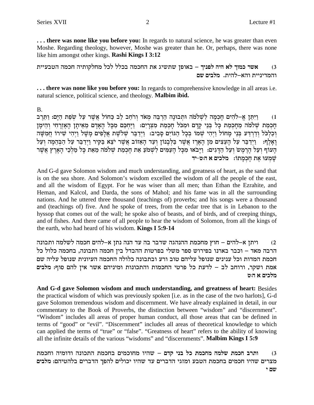... there was none like you before you: In regards to natural science, he was greater than even Moshe. Regarding theology, however, Moshe was greater than he. Or, perhaps, there was none like him amongst other kings. Rashi Kings I 3:12

אשר כמוך לא היה לפניך – באופן שתשיג את החכמה בכלל לכל מחלקותיה חכמה הטבעיית  $(3)$ והמדיניית והא–להית. מלבים שם

... there was none like you before you: In regards to comprehensive knowledge in all areas i.e. natural science, political science, and theology. Malbim ibid.

**B.** 

ויתן א–להים חכמה לשלמה ותבונה הרבה מאד ורחב לב כחול אשר על שפת הים: ותרב  $(1)$ חכמת שלמה מחכמת כל בני קדם ומכל חכמת מצרים: ויחכם מכל האדם מאיתן האזרחי והימן וְכַלְכֹּל וְדַרְדַע בְּנֵי מַחוּל וַיְהִי שָׁמוֹ בְכָל הַגּוֹיִם סַבִיב: וַיִּדַבֵּר שִׁלֹשֶׁת אֲלָפִים מַשַּׁל וַיִּהִי שִׁירוֹ חַמִשָּׁה וַאֲלֵף: וַיִּדְבֵּר עַל הַעֲצִים מִן הָאֲרֶז אֲשֶׁר בַּלְּבָנוֹן וְעַד הָאֲזוֹב אֲשֶׁר יֹצֵא בַּקִּיר וַיִּדְבֵּר עַל הַבְּהֶמָה וְעַל הַעוֹף וְעַל הַרֵמֵשׂ וְעַל הַדַּגִים: וַיַּבֹאוּ מִכָּל הַעַמִּים לְשָׁמֹעַ אֵת חָכְמַת שְׁלֹמֹה מֵאֵת כָּל מַלְכֵי הָאַרֵץ אֲשֶׁר שמעו את חכמתו: מלכים א היט-יד

And G-d gave Solomon wisdom and much understanding, and greatness of heart, as the sand that is on the sea shore. And Solomon's wisdom excelled the wisdom of all the people of the east, and all the wisdom of Egypt. For he was wiser than all men; than Ethan the Ezrahite, and Heman, and Kalcol, and Darda, the sons of Mahol; and his fame was in all the surrounding nations. And he uttered three thousand (teachings of) proverbs; and his songs were a thousand and (teachings of) five. And he spoke of trees, from the cedar tree that is in Lebanon to the hyssop that comes out of the wall; he spoke also of beasts, and of birds, and of creeping things, and of fishes. And there came of all people to hear the wisdom of Solomon, from all the kings of the earth, who had heard of his wisdom. **Kings I 5:9-14** 

ויתן א–להים – חוץ מחכמת ההנהגה שדבר בה עד הנה נתן א–להים חכמה לשלמה ותבונה  $(2)$ הרבה מאד – וכבר בארנו בפירוש ספר משלי בפרטות ההבדל בין חכמה ותבונה, בחכמה כלול כל חכמת המדות וכל ענינים שנופל עליהם טוב ורע ובתבונה כלולה החכמה העיונית שנופל עליה שם אמת ושקר, ורוחב לב – לדעת כל פרטי החכמות והתכונות ומיניהם אשר אין להם סוף: מלבים מלכים א ה:ט

And G-d gave Solomon wisdom and much understanding, and greatness of heart: Besides the practical wisdom of which was previously spoken [i.e. as in the case of the two harlots], G-d gave Solomon tremendous wisdom and discernment. We have already explained in detail, in our commentary to the Book of Proverbs, the distinction between "wisdom" and "discernment". "Wisdom" includes all areas of proper human conduct, all those areas that can be defined in terms of "good" or "evil". "Discernment" includes all areas of theoretical knowledge to which can applied the terms of "true" or "false". "Greatness of heart" refers to the ability of knowing all the infinite details of the various "wisdoms" and "discernments". Malbim Kings I 5:9

ותרב חכמת שלמה מחכמת כל בני קדם – שהיו מחוכמים בחכמת התכונה ודומיה וחכמת  $(3)$ מצרים שהיו חכמים בחכמת הטבע ומזגי הדברים עד שהיו יכולים להפך הדברים בלהטיהם: מלבים שם י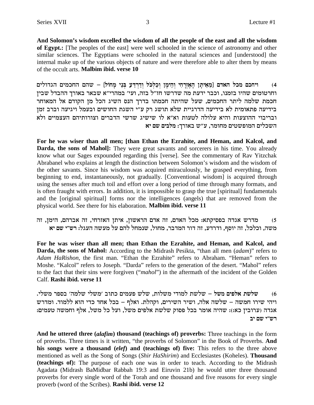And Solomon's wisdom excelled the wisdom of all the people of the east and all the wisdom of Egypt.: [The peoples of the east] were well schooled in the science of astronomy and other similar sciences. The Egyptians were schooled in the natural sciences and [understood] the internal make up of the various objects of nature and were therefore able to alter them by means of the occult arts. Malbim ibid. verse 10

ויחכם מכל האדם [מֵאֵיתָן הָאֵזְרָחִי וְהֵימַן וְכַלְכֹּל וְדַרְדַעָ בְּנֵי מַחוֹל] – שהם החכמים הגדולים  $(4)$ וחרטומים שהיו בזמנו, וכבר ידעת מה שדרשו חז"ל בזה, ועי' במהרי"א שבאר באורך ההבדל שבין חכמת שלמה ליתר החכמים, שעל שהיתה חכמתו בדרך הנס השיג הכל מן הקודם אל המאוחר בידיעה פתאומית לא בידיעה הדרגיית שלא תושג רק ע"י השגת החושים ובעמל ויגיעה וברב זמן ובריבוי ההוצעות והיא עלולה לטעות וא"א לו שישיג שרשי הדברים וצורותיהם העצמיים ולא השכלים המופשטים מחומר, ע"ש באורך: מלבים שם יא

For he was wiser than all men; [than Ethan the Ezrahite, and Heman, and Kalcol, and Darda, the sons of Mahol]: They were great savants and sorcerers in his time. You already know what our Sages expounded regarding this [verse]. See the commentary of Rav Yitzchak Abrabanel who explains at length the distinction between Solomon's wisdom and the wisdom of the other savants. Since his wisdom was acquired miraculously, he grasped everything, from beginning to end, instantaneously, not gradually. [Conventional wisdom] is acquired through using the senses after much toil and effort over a long period of time through many formats, and is often fraught with errors. In addition, it is impossible to grasp the true [spiritual] fundamentals and the [original spiritual] forms nor the intelligences (angels) that are removed from the physical world. See there for his elaboration. Malbim ibid. verse 11

מדרש אגדה בפסיקתא: מכל האדם, זה אדם הראשון, איתן האזרחי, זה אברהם, הימן, זה  $(5)$ משה, וכלכל, זה יוסף, ודרדע, זה דור המדבר, מחול, שנמחל להם על מעשה העגל: רש״י שם יא

For he was wiser than all men; than Ethan the Ezrahite, and Heman, and Kalcol, and Darda, the sons of Mahol: According to the Midrash Pesikta, "than all men (adam)" refers to Adam HaRishon, the first man. "Ethan the Ezrahite" refers to Abraham. "Heman" refers to Moshe. "Kalcol" refers to Joseph. "Darda" refers to the generation of the desert. "Mahol" refers to the fact that their sins were forgiven ("mahol") in the aftermath of the incident of the Golden Calf. Rashi ibid. verse 11

שלשת אלפים משל – שלשת למודי משלות, שלש פעמים כתוב ׳משלי שלמה׳ בספר משלי.  $(6)$ ויהי שירו חמשה – שלשה אלה, ושיר השירים, וקהלת. ואלף – בכל אחד כדי הוא ללמוד. ומדרש אגדה (ערובין כא:): שהיה אומר בכל פסוק שלשת אלפים משל, ועל כל משל, אלף וחמשה טעמים: רש"י שם יב

And he uttered three *(alafim)* thousand *(teachings of)* proverbs: Three teachings in the form of proverbs. Three times is it written, "the proverbs of Solomon" in the Book of Proverbs. And his songs were a thousand (elef) and (teachings of) five: This refers to the three above mentioned as well as the Song of Songs (Shir HaShirim) and Ecclesiastes (Koheles). Thousand (teachings of): The purpose of each one was in order to teach. According to the Midrash Agadata (Midrash BaMidbar Rabbah 19:3 and Eiruvin 21b) he would utter three thousand proverbs for every single word of the Torah and one thousand and five reasons for every single proverb (word of the Scribes). Rashi ibid. verse 12

3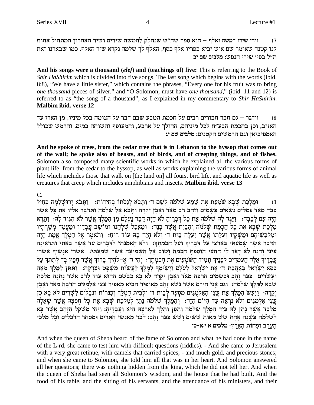ויהי שירו חמשה ואלף – הוא ספר שה"ש שנחלק לחמשה שירים ושיר האחרון המתחיל אחות  $(7)$ לנו קטנה שאומר שם איש יביא בפריו אלף כסף, האלף לך שלמה נקרא שיר האלף, כמו שבארנו זאת ת"ל בפי' שירי הנפש: מלבים שם יב

And his songs were a thousand (elef) and (teachings of) five: This is referring to the Book of Shir HaShirim which is divided into five songs. The last song which begins with the words (ibid. 8:8), "We have a little sister," which contains the phrases, "Every one for his fruit was to bring one thousand pieces of silver." and "O Solomon, must have one thousand," (ibid. 11 and 12) is referred to as "the song of a thousand", as I explained in my commentary to Shir HaShirim. Malbim ibid. verse 12

וידבר – גם חבר חבורים רבים על חכמת הטבע שבם דבר על הצומח בכל מיניו, מן הארז עד  $(8)$ האזוב, וכן בחכמת הבע"ח לכל מיניהם, ההולך על ארבע, והמעופף והשוחה במים, והרמש שכולל האמפיביאן וגם הרמשים הקטנים: מלבים שם יג

And he spoke of trees, from the cedar tree that is in Lebanon to the hyssop that comes out of the wall; he spoke also of beasts, and of birds, and of creeping things, and of fishes. Solomon also composed many scientific works in which he explained all the various forms of plant life, from the cedar to the hyssop, as well as works explaining the various forms of animal life which includes those that walk on [the land on] all fours, bird life, and aquatic life as well as creatures that creep which includes amphibians and insects. Malbim ibid. verse 13

## $C_{\cdot}$

וּמַלְכָּת שִׁבָא שֹׁמַעַת אֵת שֵׁמַע שָׁלֹמֹה לְשֵׁם ד' וַתַּבֹא לְנָסֹתוֹ בְּחִידוֹת: [תַּבֹא יְרוּשַׁלַמָה בְּחַיִל  $(1)$ כָּבֵד מְאֹד גִּמַלִּים נֹשְׂאִים בִּשָּׂמִים וְזָהָב רַב מְאֹד וְאֵבֵן יִקְרָה וַתְּבֹא אֵל שִׁלֹמֹה וַתִּדַבֵּר אֵלְיו אֶת כָּל אֲשֶׁר הַיָּה עִם לְבָבָה: [יַיְּגֶד לַה שְׁלֹמֹה אֶת כָּל דְּבָרֵיהָ לֹא הָיָה דָבָר נֵעְלָם מְן הַמֶּלֶךְ אֲשֶׁר לֹא הִגְיד לַהּ: וַתֲרֶא מַלְכַּת שִׁבָא אֶת כָּל חָכְמַת שָׁלֹמֹה וְהַבַּיִת אֲשֶׁר בָּנָה: וּמַאֲכַל שָׁלְחָנוֹ וּמוֹשַׁב עֲבָדִיו וּמַעֲמַד מִשָּׁרִתָיו וּמַלְבְּשֵׁיהֵם וּמַשְׁקֵיו וְעֹלָתוֹ אֲשֶׁר יַעֲלֵה בֵּית ד׳ וְלֹא הָיָה בָהּ עוֹד רוּחַ: וַתֹּאמֶר אֵל הַמֵּלֵךְ אֱמֶת הָיָה הַדַּבַר אֲשֶׁר שַׁמַעְתִּי בְּאַרְצִי עַל דְּבַרִיךְ וְעַל חַכְמַתֵךְ: וְלֹא הָאֱמְנִתִּי לַדְּבַרִים עַד אֲשֶׁר בַּאתִי וַתְּרָאֵינַה עיני והנה לא הגד לי החצי הוספת חכמה וטוב אל השמועה אשר שמעתי: אשרי אנשיר אשרי עבדיך אלה העמדים לפניך תמיד השמעים את חכמתך: יהי ד׳ א–להיך ברוך אשר חפץ בך לתתך על כִּסָא יִשְׂרָאֵל בְּאֲהָבָת ד׳ אֶת יִשְׂרָאֵל לְעַלָם וַיִּשִׂימֵךְ לְמָלֶךְ לַעֲשׂוֹת מִשָּׁפַּט וּצְדָקָה: וַתִּתַּן לְמֵלֶךְ מֵאָה וְעֲשְׂרִים | כִּכַּר זַהֲב וּבְשָׂמִים הַרִבֵּה מָאֹד וְאָבֶן יִקְרָה לֹא בָא כִבֹּשֵׂם הַהוּא עוֹד לַרֹב אֲשֶׁר נַתְנַה מַלִכַּת שִׁבַא לַמֲלֵךְ שָׁלֹמֹה: וְגַם אֲנִי חִירַם אֲשֶׁר נַשָּׂא זַהָב מֵאוֹפִיר הֶבִיא מֵאֹפִיר עֲצֵי אֲלִמְגִּים הַרבֶּה מִאֹד וְאֶבֵן יְקַרָה: וַיַּעֲשׂ הַמֶּלֶךְ אֶת עֲצֵי הָאַלְמִגִּים מִסְעַד לְבֵית ד׳ וּלְבֵית הַמֶּלֶךְ וְכִנּרוֹת וּנִבְלִים לַשַּׁרִים לֹא בָא כֶן עֲצֵי אַלְמְגִים וְלֹא נַרְאָה עַד הִיּוֹם הַזָּה: וְהַמְּלֹךְ שָׁלֹמֹה נַתַן לְמַלְכַּת שַׁבָּא אֶת כַּל חִפְצַה אֲשֶׁר שַׁאֲלָה מִלְּבַד אֲשֶׁר נָתַן לָה כִּיַד הַמֶּלֶךְ שִׁלֹמֹה וַתֵּפֶן וַתֵּלֶךְ לְאַרְצָה הִיא וַעֲבָדֶיהָ: וַיִּהִי מִשְׁקַל הַזָּהָב אֲשֶׁר בָּא לְשָׁלֹמֹה בִּשָּׁנָה אֶחָת שֵׁשׁ מֵאוֹת שָׁשִּׁים וָשֵׁשׁ כִּכַּר זָהָב: לְבַד מֵאֲנִשֵׁי הַתָּרִים וּמִסְחַר הָרֹכִלִים וְכָל מַלְבֵי הערב ופחות הארץ: מלכים א יא-טו

And when the queen of Sheba heard of the fame of Solomon and what he had done in the name of the L-rd, she came to test him with difficult questions (riddles). - And she came to Jerusalem with a very great retinue, with camels that carried spices, - and much gold, and precious stones; and when she came to Solomon, she told him all that was in her heart. And Solomon answered all her questions; there was nothing hidden from the king, which he did not tell her. And when the queen of Sheba had seen all Solomon's wisdom, and the house that he had built, And the food of his table, and the sitting of his servants, and the attendance of his ministers, and their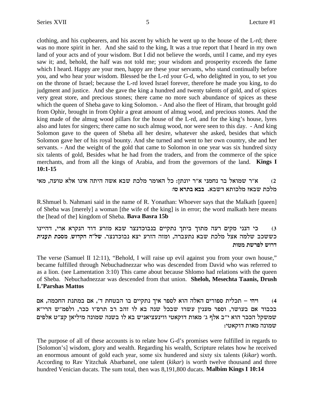clothing, and his cupbearers, and his ascent by which he went up to the house of the L-rd; there was no more spirit in her. And she said to the king, It was a true report that I heard in my own land of your acts and of your wisdom. But I did not believe the words, until I came, and my eyes saw it; and, behold, the half was not told me; your wisdom and prosperity exceeds the fame which I heard. Happy are your men, happy are these your servants, who stand continually before you, and who hear your wisdom. Blessed be the L-rd your G-d, who delighted in you, to set you on the throne of Israel; because the L-rd loved Israel forever, therefore he made you king, to do judgment and justice. And she gave the king a hundred and twenty talents of gold, and of spices very great store, and precious stones; there came no more such abundance of spices as these which the queen of Sheba gave to king Solomon. - And also the fleet of Hiram, that brought gold from Ophir, brought in from Ophir a great amount of almug wood, and precious stones. And the king made of the almug wood pillars for the house of the L-rd, and for the king's house, lyres also and lutes for singers; there came no such almug wood, nor were seen to this day. - And king Solomon gave to the queen of Sheba all her desire, whatever she asked, besides that which Solomon gave her of his royal bounty. And she turned and went to her own country, she and her servants. - And the weight of the gold that came to Solomon in one year was six hundred sixty six talents of gold, Besides what he had from the traders, and from the commerce of the spice merchants, and from all the kings of Arabia, and from the governors of the land. Kings I  $10:1 - 15$ 

א״ר שמואל בר נחמני א״ר יונתן: כל האומר מלכת שבא אשה היתה אינו אלא טועה, מאי  $(2)$ מלכת שבא? מלכותא דשבא. בבא בתרא טו:

R.Shmuel b. Nahmani said in the name of R. Yonathan: Whoever says that the Malkath [queen] of Sheba was [merely] a woman [the wife of the king] is in error; the word malkath here means the [head of the] kingdom of Sheba. Bava Basra 15b

כי הנני מקים רעה מתוך ביתך נתקיים בנבוכדנצר שבא מזרע דוד הנקרא ארי, דהיינו  $(3)$ כששכב שלמה אצל מלכת שבא נתעברה, ומזה הזרע יצא נבוכדנצר. של"ה הקדוש, מסכת תענית דרוש לפרשת מטות

The verse (Samuel II 12:11), "Behold, I will raise up evil against you from your own house," became fulfilled through Nebuchadnezzar who was descended from David who was referred to as a lion. (see Lamentation 3:10) This came about because Shlomo had relations with the queen of Sheba. Nebuchadnezzar was descended from that union. Sheloh, Mesechta Taanis, Drush L'Parshas Mattos

ויהי – תכלית ספורים האלה הוא לספר איך נתקיים בו הבטחת ד׳, אם במתנת החכמה, אם  $(4)$ בכבוד אם בעושר, וספר מענין עשרו שבכל שנה בא לו זהב רב תרס"ו ככר, ולפמ"ש הרי"א שמשקל הככר הוא י"ב אלף ג' מאות דוקאטי ווינעציאניש בא לו בשנה שמונה מיליאן קצ"ט אלפים שמונה מאות דוקאטי:

The purpose of all of these accounts is to relate how G-d's promises were fulfilled in regards to [Solomon's] wisdom, glory and wealth. Regarding his wealth, Scripture relates how he received an enormous amount of gold each year, some six hundered and sixty six talents (kikar) worth. According to Rav Yitzchak Abarbanel, one talent (kikar) is worth twelve thousand and three hundred Venician ducats. The sum total, then was 8,191,800 ducats. Malbim Kings I 10:14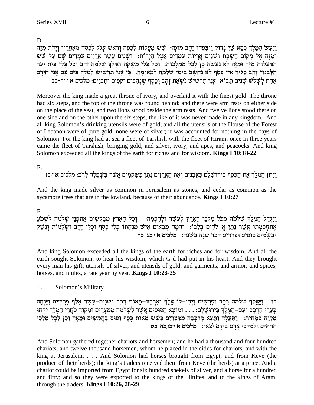D.

וַיַּעַשׂ הַמֵּלֵךְ כִּסֵא שֶׁן גַּדוֹל וַיִּצַפֶּהוּ זַהַב מוּפַז: שֵׁשׁ מַעֲלוֹת לַכִּסֶה וְרֹאשׁ עַגֹל לַכְסֶה מֵאַחֲרִיו וְיַדֹת מִזֶּה וּמִזֵּה אֵלْ מִקוֹם הַשַּׁבֵת וּשִׁנַיִם אֲרָיוֹת עמִדִים אֵצֶל הַיָּדוֹת: וּשְׁנֵים עָשָׂר אֲרָיִים עמְדִים שָׁם עַל שֵׁשׁ המעלות מזה ומזה לא נעשה כן לכל ממלכות: וכל כלי משקה המלך שלמה זהב וכל כלי בית יער הַלְּבָנוֹן זַהַב סָגוּר אֵין כֵּסֵף לֹא נַחְשַׁב בִּימֵי שָׁלֹמֹה לְמְאוּמָה: כִּי אֲנִי תַרְשִׂישׁ לַמֵּלֶךְ בַּיָם עִם אֲנִי חִירַם אַחַת לְשָׁלֹשׁ שָׁנִים תַּבוֹא | אֲנִי תַרְשִׁישׁ נֹשְׂאֵת זָהָב וָכֵסֵף שֵׁנְהַבִּים וְקֹפִים וְתִכִּיִּים: מלכים א יוּיח-כב

Moreover the king made a great throne of ivory, and overlaid it with the finest gold. The throne had six steps, and the top of the throne was round behind; and there were arm rests on either side on the place of the seat, and two lions stood beside the arm rests. And twelve lions stood there on one side and on the other upon the six steps; the like of it was never made in any kingdom. And all king Solomon's drinking utensils were of gold, and all the utensils of the House of the Forest of Lebanon were of pure gold; none were of silver; it was accounted for nothing in the days of Solomon. For the king had at sea a fleet of Tarshish with the fleet of Hiram; once in three years came the fleet of Tarshish, bringing gold, and silver, ivory, and apes, and peacocks. And king Solomon exceeded all the kings of the earth for riches and for wisdom. Kings I 10:18-22

Ε.

וַיִּתֵּן הַמֵּלֵךְ אֶת הַכֵּסֵף בִּירוּשָׁלַם כַּאֲבַנִים וָאֶת הָאֲרַזִים נַתַּן כַּשִּׁקַמִים אֲשֶׁר בַּשִּׁפֵלַה לַרֹב: מלכים א יוכז

And the king made silver as common in Jerusalem as stones, and cedar as common as the sycamore trees that are in the lowland, because of their abundance. Kings I 10:27

 $F_{\perp}$ 

וַיִּגְדַּל הַמֶּלֶךְ שְׁלֹמֹה מִכֹּל מַלְכֵי הָאָרֶץ לְעֹשֶׁר וּלְחָכְמָה: וְכָל הָאָרֶץ מְבַקְשִׁים אֶתפְּנֵי שָׁלֹמֹה לִשְׁמֹעַ אֶתחְכְמְתוֹ אֲשֶׁר נְתַן אֶ–לֹהִים בְּלְבּוֹ: וְהֵמָּה מְבִאִים אִישׁ מִנְחָתוֹ כְּלֵי כֶסֶף וּכְלֵי זָהָב וּשְׁלְמוֹת וְנֵשֶׁק וּבְשֵׂמִים סוּסִים וּפַרְדִים דְבָר שֵׁנָה בְּשֵׁנָה: מַלְכִים אַ יּכִג-כָה

And king Solomon exceeded all the kings of the earth for riches and for wisdom. And all the earth sought Solomon, to hear his wisdom, which G-d had put in his heart. And they brought every man his gift, utensils of silver, and utensils of gold, and garments, and armor, and spices, horses, and mules, a rate year by year. **Kings I 10:23-25** 

Π. Solomon's Military

וַיֶּאֱסֹף שְׁלֹמֹה רֶכֶב וּפָרָשִׁים וַיְהִיּ–לוֹ אֶלֶף וְאַרְבַּע-מֵאוֹת רֶכֶב וּשָׁנֵים–עָשָׂר אֵלֵף פָּרָשִׁים וַיַּנְחֵם כו בִּעֲרֵי הָרֵכֶב וְעָם–הַמֶּלֵךְ בִּירוּשָׁלַם: . . . וּמוֹצָא הַסּוּסִים אֲשֶׁר לְשָׁלֹמֹה מִמְצְרַיִם וּמִקְרָה סֹחֲרֵי הַמֵּלֵךְ יִקְחוּ מִקְוֵה בִּמְחִיר: ۚ וַתַּעֲלֶה וַתֵּצֵא מֶרְכָּבָה מִמִּצְרַיִם בְּשֵׁשׁ מֵאוֹת כֶּסֶף וְסוּס בַּחֲמִשִּׁים וּמֵאָה וְכֵן לְכָל מַלְבֵי החתים ולמלכי ארם בידם יצאו: מלכים א יכו,כח-כט

And Solomon gathered together chariots and horsemen; and he had a thousand and four hundred chariots, and twelve thousand horsemen, whom he placed in the cities for chariots, and with the king at Jerusalem.... And Solomon had horses brought from Egypt, and from Keve (the produce of their herds); the king's traders received them from Keve (the herds) at a price. And a chariot could be imported from Egypt for six hundred shekels of silver, and a horse for a hundred and fifty; and so they were exported to the kings of the Hittites, and to the kings of Aram, through the traders. Kings I 10:26, 28-29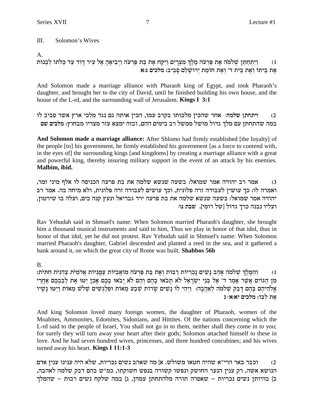$III.$ Solomon's Wives

А.

וַיִתְחַתֵּן שְׁלֹמֹה אֶת פַּרְעֹה מֶלֶךְ מִצְרָיִם וַיִּקַח אֶת בַּת פַּרְעֹה וַיְבִיאֶהָ אֶל עִיר דְּוִד עַד כַּלֹתוֹ לִבְנוֹת  $(1)$ את ביתו ואת בית ד׳ ואת חומת ירושלם סביב: מלכים ג:א

And Solomon made a marriage alliance with Pharaoh king of Egypt, and took Pharaoh's daughter, and brought her to the city of David, until he finished building his own house, and the house of the L-rd, and the surrounding wall of Jerusalem. Kings I 3:1

ויתחתן שלמה: אחר שהכין מלכותו בקרב עמו, הכין אותה גם נגד מלכי ארץ אשר סביב לו  $(2)$ במה שהתחתן עם מלך גדול מושל ממשל רב בימים ההם, ובזה ימצא עזר מצריו מבחוץ: מלבים שם

And Solomon made a marriage alliance: After Shlomo had firmly established [the loyalty] of the people [to] his government, he firmly established his government [as a force to contend with, in the eyes of the surrounding kings [and kingdoms] by creating a marriage alliance with a great and powerful king, thereby insuring military support in the event of an attack by his enemies. Malbim. ibid.

אמר רב יהודה אמר שמואל: בשעה שנשא שלמה את בת פרעה הכניסה לו אלף מיני זמר,  $(3)$ ואמרה לו: כך עושין לעבודה זרה פלונית, וכך עושים לעבודה זרה פלונית, ולא מיחה בה. אמר רב יהודה אמר שמואל: בשעה שנשא שלמה את בת פרעה ירד גבריאל ונעץ קנה בים, ועלה בו שירטון, ועליו נבנה כרך גדול [של רומי]. שבת נו:

Rav Yehudah said in Shmuel's name: When Solomon married Pharaoh's daughter, she brought him a thousand musical instruments and said to him, Thus we play in honor of that idol, thus in honor of that idol, yet he did not protest. Rav Yehudah said in Shmuel's name: When Solomon married Pharaoh's daughter, Gabriel descended and planted a reed in the sea, and it gathered a bank around it, on which the great city of Rome was built. Shabbos 56b

## $B<sub>1</sub>$

והַמַּלֶךְ שָׁלֹמֹה אֲהֵב נַשִּׁים נַכְרִיּוֹת רַבּוֹת וְאֶת בַּת פַּרְעֹה מוֹאֲבִיּוֹת עָמֲנִיּוֹת אֲדֹמִיֹּת הַתִּיֹּת:  $(1)$ מן הגוים אַשֶׁר אַמַר ד׳ אֵל בְּנֵי יִשְׂרָאֵל לֹא תַבֹאו בָהֶם וְהֶם לֹא יָבֹאוּ בָכֶם אֲכֶן יַטּוּ אֶת לְבָבְכֶם אָחֱרִי אֱלֹהֵיהֶם בָּהֶם דָּבַק שִׁלֹמֹה לְאַהֲבָה: וַיִּהִי לוֹ נָשִׁים שָׂרוֹת שִׁבַע מֵאוֹת וּפִלַגְשִׁים שִׁלֹש מֵאוֹת וַיַטּוּ נָשָׁיו את לבו: מלכים יא:א-ג

And king Solomon loved many foreign women, the daughter of Pharaoh, women of the Moabites, Ammonites, Edomites, Sidonians, and Hittites. Of the nations concerning which the L-rd said to the people of Israel, You shall not go in to them, neither shall they come in to you; for surely they will turn away your heart after their gods; Solomon attached himself to these in love. And he had seven hundred wives, princesses, and three hundred concubines; and his wives turned away his heart. **Kings I 11:1-3** 

וכבר באר הרי״א שהיה חטאו משולש. א] מה שאהב נשים נכריות, שלא היה ענינו ענין אדם  $(2)$ הנושא אשה, רק ענין הנער החושק ונפשו קשורה בנפש חשוקתו, כמ"ש בהם דבק שלמה לאהבה, ב] בהיותן נשים נכריות – שאסרה תורה מלהתחתן עמהן, ג] במה שלקח נשים רבות – שהמלך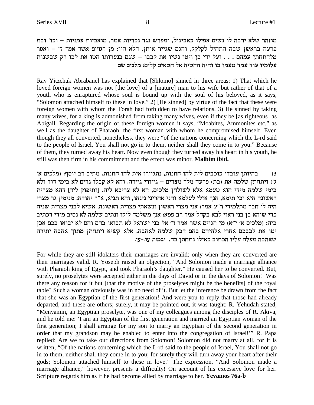מוזהר שלא ירבה לו נשים אפילו כאביגיל, ומפרש נגד נכריות אמר, מואביות עמניות – וכו׳ ובת פרעה בראשן שבה התחיל לקלקל, והגם שגייר אותן, הלא היו: מן הגויים אשר אמר ד' – ואסר מלהתחתן עמהם . . . ועל ידי כן ויטו נשיו את לבבו – שגם בנערותו הטו את לבו רק שבשנות עלומיו עוד עמד טעמו בו והיה ההטיה אל חטאים קלים: מלבים שם

Rav Yitzchak Abrabanel has explained that [Shlomo] sinned in three areas: 1) That which he loved foreign women was not [the love] of a [mature] man to his wife but rather of that of a youth who is enraptured whose soul is bound up with the soul of his beloved, as it says, "Solomon attached himself to these in love." 2) [He sinned] by virtue of the fact that these were foreign women with whom the Torah had forbidden to have relations. 3) He sinned by taking many wives, for a king is admonished from taking many wives, even if they be [as righteous] as Abigail. Regarding the origin of these foreign women it says, "Moabites, Ammonites etc," as well as the daughter of Pharaoh, the first woman with whom he compromised himself. Even though they all converted, nonetheless, they were "of the nations concerning which the L-rd said to the people of Israel, You shall not go in to them, neither shall they come in to you." Because of them, they turned away his heart. Now even though they turned away his heart in his youth, he still was then firm in his commitment and the effect was minor. **Malbim ibid.** 

בהיותן עובדי כוכבים לית להו חתנות, נתגיירו אית להו חתנות. מתיב רב יוסף: (מלכים א'  $(3)$ ג׳) ויתחתן שלמה את (בת) פרעה מלך מצרים – גייורי גיירה. והא לא קבלו גרים לא בימי דוד ולא בימי שלמה מידי הוא טעמא אלא לשולחן מלכים, הא לא צריכא ליה. [ותיפוק ליה] דהא מצרית ראשונה היא וכי תימא, הנך אזלי לעלמא והני אחריני נינהו, והא תניא, א״ר יהודה: מנימין גר מצרי היה לי חבר מתלמידי ר״ע אמר: אני מצרי ראשון ונשאתי מצרית ראשונה, אשיא לבני מצרית שניה כדי שיהא בן בני ראוי לבא בקהל אמר רב פפא: אנן משלמה ליקו ונתיב שלמה לא נסיב מידי דכתיב ביה: (מלכים א׳ י"א) מן הגוים אשר אמר ד׳ אל בני ישראל לא תבואו בהם והם לא יבואו בכם אכן יטו את לבבכם אחרי אלהיהם בהם דבק שלמה לאהבה. אלא קשיא ויתחתן מתוך אהבה יתירה שאהבה מעלה עליו הכתוב כאילו נתחתן בה. יבמות עו.-עו:

For while they are still idolaters their marriages are invalid; only when they are converted are their marriages valid. R. Yoseph raised an objection, "And Solomon made a marriage alliance with Pharaoh king of Egypt, and took Pharaoh's daughter." He caused her to be converted. But, surely, no proselytes were accepted either in the days of David or in the days of Solomon! Was there any reason for it but [that the motive of the proselytes might be the benefits] of the royal table? Such a woman obviously was in no need of it. But let the inference be drawn from the fact that she was an Egyptian of the first generation! And were you to reply that those had already departed, and these are others; surely, it may be pointed out, it was taught: R. Yehudah stated, "Menyamin, an Egyptian proselyte, was one of my colleagues among the disciples of R. Akiva, and he told me: 'I am an Egyptian of the first generation and married an Egyptian woman of the first generation; I shall arrange for my son to marry an Egyptian of the second generation in order that my grandson may be enabled to enter into the congregation of Israel!" R. Papa replied: Are we to take our directions from Solomon! Solomon did not marry at all, for it is written, "Of the nations concerning which the L-rd said to the people of Israel, You shall not go in to them, neither shall they come in to you; for surely they will turn away your heart after their gods; Solomon attached himself to these in love." The expression, "And Solomon made a marriage alliance," however, presents a difficulty! On account of his excessive love for her. Scripture regards him as if he had become allied by marriage to her. Yevamos 76a-b

8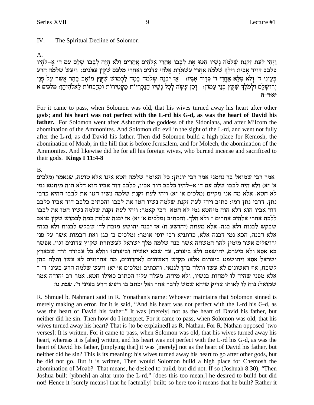9

#### $IV.$ The Spiritual Decline of Solomon

#### $\mathsf{A}$ .

וַיְהִי לִעֲת זְקִנַת שָׁלֹמֹה נַשִּׁיו הַטּוּ אֶת לִבְבוֹ אַחֲרֵי אֱלֹהִים אֲחֲרִים וְלֹא הַיַּה לִבְבוֹ שַׁלֵם עָם ד׳ אֱ–לֹהֵיו כלבב דויד אביו: וילך שלמה אחרי עשתרת אלהי צדנים ואחרי מלכם שקץ עמנים: ויעש שלמה הרע בְעֵינֵי ד׳ וִלֹא מִלָּא אַחֵרִי ד׳ כִּדְוִד אַבִּיו: ) אַז יִבְנָה שָׁלְמֹה בְּמַה לְכְמוֹשׁ שַׁקְץ מוֹאֵב בַּהֵר אֲשֶׁר עַל פִּנֵי יְרוּשַׁלַם וּלְמֹלֶךְ שִׁקְץ בְּנֵי עַמּוֹן: - וְכֵן עַשָׂה לְכָל נַשִּׁיו הַנַּכְרִיּוֹת מַקְטִירוֹת וֹמְזַבְחוֹת לֵאלֹהֵיהֶן: מלכים א  $7 - 7:8$ 

For it came to pass, when Solomon was old, that his wives turned away his heart after other gods; and his heart was not perfect with the L-rd his G-d, as was the heart of David his father. For Solomon went after Ashtoreth the goddess of the Sidonians, and after Milcom the abomination of the Ammonites. And Solomon did evil in the sight of the L-rd, and went not fully after the L-rd, as did David his father. Then did Solomon build a high place for Kemosh, the abomination of Moab, in the hill that is before Jerusalem, and for Molech, the abomination of the Ammonites. And likewise did he for all his foreign wives, who burned incense and sacrificed to their gods. **Kings I 11:4-8** 

## **B.**

אמר רבי שמואל בר נחמני אמר רבי יונתן: כל האומר שלמה חטא אינו אלא טועה, שנאמר (מלכים א׳ יא) ולא היה לבבו שלם עם ד׳ א–להיו כלבב דוד אביו. כלבב דוד אביו הוא דלא הוה מיחטא נמי לא חטא. אלא מה אני מקיים (מלכים א׳ יא) ויהי לעת זקנת שלמה נשיו הטו את לבבו ההיא כרבי נתן. דרבי נתן רמי: כתיב ויהי לעת זקנת שלמה נשיו הטו את לבבו והכתיב כלבב דוד אביו כלבב דוד אביו הוא דלא הוה מיחטא נמי לא חטא הכי קאמר: ויהי לעת זקנת שלמה נשיו הטו את לבבו ללכת אחרי אלהים אחרים ־ ולא הלך. והכתיב (מלכים א' יא) אז יבנה שלמה במה לכמוש שקץ מואב שבקש לבנות ולא בנה. אלא מעתה (יהושע ח) אז יבנה יהושע מזבח לד׳ שבקש לבנות ולא בנה? אלא דבנה, הכא נמי דבנה אלא, כדתניא רבי יוסי אומר: (מלכים ב' כג) ואת הבמות אשר על פני ירושלים אשר מימין להר המשחה אשר בנה שלמה מלך ישראל לעשתרת שקוץ צדונים וגו׳. אפשר בא אסא ולא ביערם, יהושפט ולא ביערם, עד שבא יאשיה וביערם? והלא כל עבודה זרה שבארץ ישראל אסא ויהושפט ביערום אלא: מקיש ראשונים לאחרונים, מה אחרונים לא עשו ותלה בהן לשבח, אף ראשונים לא עשו ותלה בהן לגנאי. והכתיב (מלכים א׳ יא) ויעש שלמה הרע בעיני ד׳ ־ אלא מפני שהיה לו למחות בנשיו, ולא מיחה, מעלה עליו הכתוב כאילו חטא. אמר רב יהודה אמר שמואל: נוח לו לאותו צדיק שיהא שמש לדבר אחר ואל יכתב בו ויעש הרע בעיני ד׳. שבת נו:

R. Shmuel b. Nahmani said in R. Yonathan's name: Whoever maintains that Solomon sinned is merely making an error, for it is said, "And his heart was not perfect with the L-rd his G-d, as was the heart of David his father." It was [merely] not as the heart of David his father, but neither did he sin. Then how do I interpret, For it came to pass, when Solomon was old, that his wives turned away his heart? That is [to be explained] as R. Nathan. For R. Nathan opposed [two verses]: It is written, For it came to pass, when Solomon was old, that his wives turned away his heart, whereas it is [also] written, and his heart was not perfect with the L-rd his G-d, as was the heart of David his father, [implying that] it was [merely] not as the heart of David his father, but neither did he sin? This is its meaning: his wives turned away his heart to go after other gods, but he did not go. But it is written, Then would Solomon build a high place for Chemosh the abomination of Moab? That means, he desired to build, but did not. If so (Joshuah 8:30), "Then Joshua built [yibneh] an altar unto the L-rd," [does this too mean,] he desired to build but did not! Hence it [surely means] that he [actually] built; so here too it means that he built? Rather it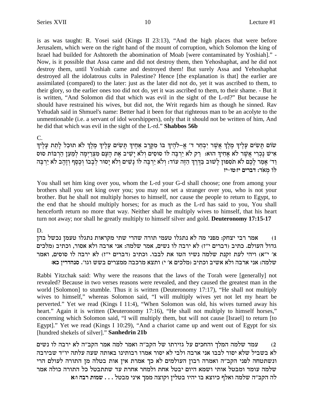is as was taught: R. Yosei said (Kings II 23:13), "And the high places that were before Jerusalem, which were on the right hand of the mount of corruption, which Solomon the king of Israel had builded for Ashtoreth the abomination of Moab [were contaminated by Yoshiah]." - Now, is it possible that Assa came and did not destroy them, then Yehoshaphat, and he did not destroy them, until Yoshiah came and destroyed them! But surely Assa and Yehoshaphat destroyed all the idolatrous cults in Palestine? Hence [the explanation is that] the earlier are assimilated (compared) to the later: just as the later did not do, yet it was ascribed to them, to their glory, so the earlier ones too did not do, yet it was ascribed to them, to their shame. - But it is written, "And Solomon did that which was evil in the sight of the L-rd?" But because he should have restrained his wives, but did not, the Writ regards him as though he sinned. Rav Yehudah said in Shmuel's name: Better had it been for that righteous man to be an acolyte to the unmentionable (i.e. a servant of idol worshippers), only that it should not be written of him, And he did that which was evil in the sight of the L-rd."**Shabbos 56b**

C.

שׂוֹם תַּשִׂים עָלֵיךְ מֵלֵךְ אֲשֵׁר יִבְחַר ד' אֵ–לֹהֵיךְ בּוֹ מִקֵרֵב אַחֵיךְ תָּשִׂים עָלֵיךְ מֵלֵךְ לֹא תוּכַל לָתֵת עָלֵיךְ איש נַכְרִי אֲשֶׁר לֹא אַחִיךְ הוּא: [יִק לֹא יַרִכְּה לּוֹ סוּסִים וְלֹא יַשִׁיב אֶת הַעָּם מְצִרַיִמָה לְמַעַן הַרְבּוֹת סוּס וַד׳ אָמַר לָכֶם לֹא תֹסִפוּן לְשׁוּב בַּדֶרֶךְ הַזֶּה עוֹד: וְלֹא יַרְבֶּה לּוֹ נָשִׁים וְלֹא יְסוּר לְבְבוֹ וְכֶסֶף וְזָהָב לֹא יַרְבֶּה **fi** מאד: דברים יז:טו-יז

You shall set him king over you, whom the L-rd your G-d shall choose; one from among your brothers shall you set king over you; you may not set a stranger over you, who is not your brother. But he shall not multiply horses to himself, nor cause the people to return to Egypt, to the end that he should multiply horses; for as much as the L-rd has said to you, You shall henceforth return no more that way. Neither shall he multiply wives to himself, that his heart turn not away; nor shall he greatly multiply to himself silver and gold. **Deuteronomy 17:15-17**

#### D.

מכר רבי יצחק: מפני מה לא נתגלו טעמי תורה שהרי שתי מקראות נתגלו טעמן נכשל בהן  $\alpha$ גדול העולם. כתיב (דברים י"ז) לא ירבה לו נשים, אמר שלמה: אני ארבה ולא אסור, וכתיב (מלכים א׳ י״א) ויהי לעת זקנת שלמה נשיו הטו את לבבו. וכתיב (דברים י״ז) לא ירבה לו סוסים, ואמר : **שלמה: אני ארבה ולא אשיב וכתיב (מלכים א׳ י) ותצא מרכבה ממצרים בשש וגו׳. סנהדרין כא** 

Rabbi Yitzchak said: Why were the reasons that the laws of the Torah were [generally] not revealed? Because in two verses reasons were revealed, and they caused the greatest man in the world [Solomon] to stumble. Thus it is written (Deuteronomy 17:17), "He shall not multiply wives to himself," whereas Solomon said, "I will multiply wives yet not let my heart be perverted." Yet we read (Kings I 11:4), "When Solomon was old, his wives turned away his heart." Again it is written (Deuteronomy 17:16), "He shall not multiply to himself horses," concerning which Solomon said, "I will multiply them, but will not cause [Israel] to return [to Egypt]." Yet we read (Kings I 10:29), "And a chariot came up and went out of Egypt for six [hundred shekels of silver]."**Sanhedrin 21b**

שלמה המלך והחכים על גזירתו של הקב"ה ואמר למה אמר הקב"ה לא ירבה לו נשים (2 לא בשביל שלא יסור לבבו אני ארבה ולבי לא יסור אמרו רבותינו באותה שעה עלתה יו"ד שבירבה ונשתטחה לפני הקב"ה ואמרה רבון העולמים לא כך אמרת אין אות בטלה מן התורה לעולם הרי שלמה עומד ומבטל אותי ושמא היום יבטל אחת ולמחר אחרת עד שתתבטל כל התורה כולה אמר **`:e dax zeny** . . . lhan ipi` jnn dvewe oilha eidi ea `veik sl`e dnly d"awd dl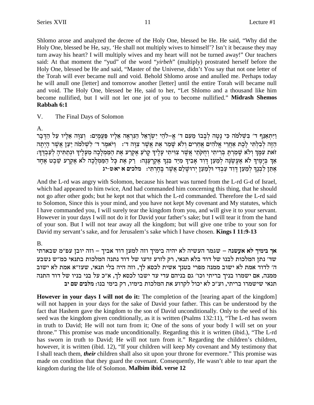Shlomo arose and analyzed the decree of the Holy One, blessed be He. He said, "Why did the Holy One, blessed be He, say, 'He shall not multiply wives to himself'? Isn't it because they may turn away his heart? I will multiply wives and my heart will not be turned away!" Our teachers said: At that moment the "yud" of the word "yirbeh" (multiply) prostrated herself before the Holy One, blessed be He and said, "Master of the Universe, didn't You say that not one letter of the Torah will ever became null and void. Behold Shlomo arose and anulled me. Perhaps today he will anull one [letter] and tomorrow another [letter] until the entire Torah will became null and void. The Holy One, blessed be He, said to her, "Let Shlomo and a thousand like him become nullified, but I will not let one jot of you to become nullified." Midrash Shemos Rabbah 6:1

V. The Final Days of Solomon

A.

וַיִּתְאַנַף ד׳ בִּשְׁלֹמֹה כִּי נָטָה לְבָבוֹ מֵעִם ד׳ אֱ–לֹהֵי יִשְׂרָאֵל הַנִּרְאָה אֵלְיו פַּעֲמָיִם: וְצִוָּה אֵלְיו עַל הַדֶּבְר הַדֶּה לְבְלְתִּי לֵכֶת אֲחֲרֵי אֱלֹהִים אֲחֵרִים וְלֹא שַׁמַר אֶת אֲשֶׁר צְוָה ד': [יֹּאמֶר ד' לְשִׂלֹמֹה יַעַן אֲשֶׁר הָיִתַה זאת עִמַּךְ וְלֹא שָׁמַרְתָּ בְּרִיתִי וְחָקֹתַי אֲשֵׁר צִוְיֹתִי עָלֵיךְ קָרֹעַ אֵקְרַע אֵת הַמַּמְלָכָה מֵעָלֵיךְ וּנְתַתִּיהָ לְעַבְדֵּךְ: אַךְ בְּיָמֶיֹךְ לֹא אֶעֱשֶׂנָה לְמַעַן דְוִד אָבִיךְ מִיַּד בִּנְךָ אֶקְרָעֶנָה: וַלֹּן אֶת כָּל הַמַּמְלָכָה לֹא אֶקְרָע שֵׁבֶט אֶחָד<br>אֶתֵּן לִבְנֶךְ לְמַעַן דְוִד עַבְדִּי וּלְמַעַן יְרוּשָׁלַם אֲשֶׁר בְּחָרְתִּי: | מל

And the L-rd was angry with Solomon, because his heart was turned from the L-rd G-d of Israel, which had appeared to him twice, And had commanded him concerning this thing, that he should not go after other gods; but he kept not that which the L-rd commanded. Therefore the L-rd said to Solomon, Since this is your mind, and you have not kept My covenant and My statutes, which I have commanded you, I will surely tear the kingdom from you, and will give it to your servant. However in your days I will not do it for David your father's sake; but I will tear it from the hand of your son. But I will not tear away all the kingdom; but will give one tribe to your son for David my servant's sake, and for Jerusalem's sake which I have chosen. Kings I 11:9-13

## **B.**

אך בימיך לא אעשנה – שגמר העשיה לא יהיה בימיך וזה למען דוד אביך – וזה יובן עפ״מ שבארתי שד׳ נתן המלכות לבנו של דוד בלא תנאי, רק לזרע זרעו של דוד נתנה המלכות בתנאי כמ״ש נשבע ה׳ לדוד אמת לא ישוב ממנה מפרי בטנך אשית לכסא לך, וזה היה בלי תנאי, שעז״א אמת לא ישוב ממנה, אם ישמרו בניך בריתי וכו' גם בניהם עדי עד ישבו לכסא לך, א"כ על בני בניו של דוד התנה תנאי שישמרו בריתי, וע"כ לא יכול לקרוע את המלכות בימיו, רק בימי בנו: מלבים שם יב

**However in your days I will not do it:** The completion of the [tearing apart of the kingdom] will not happen in your days for the sake of David your father. This can be understood by the fact that Hashem gave the kingdom to the son of David unconditionally. Only to the seed of his seed was the kingdom given conditionally, as it is written (Psalms 132:11), "The L-rd has sworn in truth to David; He will not turn from it; One of the sons of your body I will set on your throne." This promise was made unconditionally. Regarding this it is written (ibid.), "The L-rd has sworn in truth to David; He will not turn from it." Regarding the children's children, however, it is written (ibid. 12), "If your children will keep My covenant and My testimony that I shall teach them, *their* children shall also sit upon your throne for evermore." This promise was made on condition that they guard the covenant. Consequently, He wasn't able to tear apart the kingdom during the life of Solomon. Malbim ibid. verse 12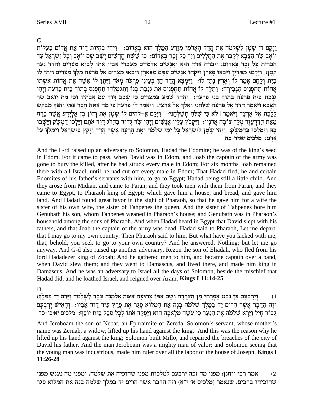וַיַּקֵם ד' שַׂטַן לְשָׁלֹמֹה אֶת הַדָד הַאֲדֹמִי מְזֵרַע הַמֶּלֶֹךְ הוּא בָּאֱדוֹם: וַיָּהִי בְּהִיוֹת דְּוִד אֶת אֲדוֹם בַּעֲלוֹת יוֹאָב שַׂר הַצָּבָא לְקַבֵּר אֶת הַחֲלָלִים וַיַּךְ כָּל זָכָר בֵּאֱדוֹם: כִּי שֵׁשֶׁת חֲדָשִׁים יַשַּׁב שָׁם יוֹאָב וְכָל יִשְׂרָאֵל עַד הִכְרִית כַּל זָכָר בֵּאֱדוֹם: וַיִּבְרַח אֲדַד הוּא וַאֲנָשִׁים אֲדֹמִיִּים מֵעַבְדֵי אָבְיו אִתּוֹ לַבוֹא מִצְרַיִם וַהֲדַד נַעַר קָטָן: וַיָּקָמוּ מִמְּדִיָן וַיָּבֹאוּ פָּאוָךן וַיִּקְחוּ אֲנָשִׁים עִמָּם מִפָּאוָךן וַיָּבֹאוּ מִצְרַיִם אֶל פַּרִעֹה מֶלֶךְ מִצְרַיִם וַיִּתֶּן לוֹ בְיָת וְלֵחֵם אָמַר לוֹ וְאֵרֶץ נָתַן לוֹ: וַיִּמְצָא הֲדָד חֵן בִּעֵינֵי פַרְעֹה מְאֹד וַיִּתֵּן לוֹ אִשָּׁה אֵת אֲחוֹת אִשְׁתּוֹ אֲחוֹת תַּחִפְּנֵיס הַגִּבְירַה: וַתֵּלֵד לוֹ אֲחוֹת תַּחִפְּנֵיס אֶת גִּנְבַת בְּנוֹ וַתְּגִמְלֵהוּ תַחִפְּנֵס בְּתוֹךְ בֵּית פַּרְעֹה וַיִּהִי גְנְבַת בֵּית פַּרְעֹה בְּתוֹךְ בְּנֵי פַרְעֹה: וַהֲדָד שַׁמַע בְּמִצְרִיִם כִּי שַׁכָב דַּוְד עִם אֲבֹתַיו וְכִי מֶת יוֹאֲב שַׂר הַצָּבָא וַיֹּאמֶר הֲדֵד אֶל פַּרְעֹה שַׁלְחֵנִי וְאֵלֵךְ אֶל אַרְצִי: וַיֹּאמֶר לוֹ פַרְעֹה כִּי מַה אַתַּה חַסֶר עִמְי וְהִנִּךְ מְבַקֵּשׁ לַלְכֶת אֵל אַרצֶךְ וַיֹּאמֶר | לֹא כִּי שַׁלֵּחַ תִּשַׁלְחֵנִי: | וַיַּקֵם אֵ–לֹהִים לוֹ שַטַן אֶת רְזוֹן בֵּן אֲלִיַדַע אֲשֶׁר בַּרַח מֵאֶת הַדַדְעָזֶר מֶלֶךְ צוֹבָה אֲדֹנַיו: וַיִּקְבֹּץ עַלִיו אֲנַשִׁים וַיָּהִי שַׂר גִּדוּד בַּהֲרֹג דְוָד אֹתַם וַיַּלְכוּ דַמֲשֶׂק וַיֵּשָׁבוּ בָה וַיִּמְלְכוּ בְּדַמַּשֶׂק: וַיִּהִי שַׂטַן לִיִשְׂרָאֵל כַּל יִמֵי שִׁלֹמֹה וְאֶת הַרַעָּה אֲשֶׁר הֲדַד וַיַּקַץ בִּיְשְׂרָאֵל וַיִּמְלֹךְ עָל ארם: מלכים יא:יד-כה

And the L-rd raised up an adversary to Solomon, Hadad the Edomite; he was of the king's seed in Edom. For it came to pass, when David was in Edom, and Joab the captain of the army was gone to bury the killed, after he had struck every male in Edom; For six months Joab remained there with all Israel, until he had cut off every male in Edom; That Hadad fled, he and certain Edomites of his father's servants with him, to go to Egypt; Hadad being still a little child. And they arose from Midian, and came to Paran; and they took men with them from Paran, and they came to Egypt, to Pharaoh king of Egypt; which gave him a house, and bread, and gave him land. And Hadad found great favor in the sight of Pharaoh, so that he gave him for a wife the sister of his own wife, the sister of Tahpenes the queen. And the sister of Tahpenes bore him Genubath his son, whom Tahpenes weaned in Pharaoh's house; and Genubath was in Pharaoh's household among the sons of Pharaoh. And when Hadad heard in Egypt that David slept with his fathers, and that Joab the captain of the army was dead, Hadad said to Pharaoh, Let me depart, that I may go to my own country. Then Pharaoh said to him, But what have you lacked with me, that, behold, you seek to go to your own country? And he answered, Nothing; but let me go anyway. And G-d also raised up another adversary, Rezon the son of Eliadah, who fled from his lord Hadadezer king of Zobah; And he gathered men to him, and became captain over a band, when David slew them; and they went to Damascus, and lived there, and made him king in Damascus. And he was an adversary to Israel all the days of Solomon, beside the mischief that Hadad did; and he loathed Israel, and reigned over Aram. Kings I 11:14-25

## D.

וְיַרַבְעָם בֵּן נִבְט אֶפְרַתִי מִן הַצְרֵדָה וְשֵׁם אָמוֹ צְרוּעָה אָשָׁה אַלְמַנָה עֶבֶד לְשָׁלֹמֹה וַיַּרֵם יַד בַּמֵּלֵךְ:  $(1)$ וְזֶה הַדָּבָר אֲשֶׁר הֵרִים יַד בַּמֵּלֵךְ שְׁלֹמֹה בָּנָה אֶת הַמְּלוֹא סַגַר אֶת פֵּרֶץ עִיר דָּוִד אָבְיו: וְהָאִישׁ יַרְבְעָם גִּבּוֹר חַיָּל וַיַּרָא שָׁלֹמֹה אֶת הַנַּעַר כִּי עֹשֶׂה מִלָּאכָה הוּא וַיַּפְקֶד אתו לְכָל סֵבֶל בֵּית יוֹסֵף: מלכים יא כו-כח

And Jeroboam the son of Nebat, an Ephraimite of Zereda, Solomon's servant, whose mother's name was Zeruah, a widow, lifted up his hand against the king. And this was the reason why he lifted up his hand against the king; Solomon built Millo, and repaired the breaches of the city of David his father. And the man Jeroboam was a mighty man of valor; and Solomon seeing that the young man was industrious, made him ruler over all the labor of the house of Joseph. Kings I 11:26-28

אמר רבי יוחנן: מפני מה זכה ירבעם למלכות מפני שהוכיח את שלמה. ומפני מה נענש מפני  $(2)$ שהוכיחו ברבים. שנאמר (מלכים א' י"א) וזה הדבר אשר הרים יד במלך שלמה בנה את המלוא סגר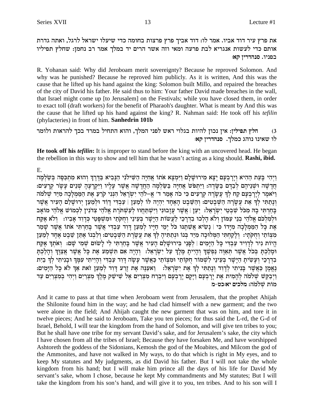את פרץ עיר דוד אביו. אמר לו: דוד אביך פרץ פרצות בחומה כדי שיעלו ישראל לרגל, ואתה גדרת אותם כדי לעשות אנגריא לבת פרעה ומאי וזה אשר הרים יד במלך אמר רב נחמן: שחלץ תפיליו בפניו. סנהדרין קא:

R. Yohanan said: Why did Jeroboam merit sovereignty? Because he reproved Solomon. And why was he punished? Because he reproved him publicly. As it is written, And this was the cause that he lifted up his hand against the king: Solomon built Millo, and repaired the breaches of the city of David his father. He said thus to him: Your father David made breaches in the wall, that Israel might come up [to Jerusalem] on the Festivals; while you have closed them, in order to exact toll (draft workers) for the benefit of Pharaoh's daughter. What is meant by And this was the cause that he lifted up his hand against the king? R. Nahman said: He took off his *tefilin* (phylacteries) in front of him. Sanhedrin 101b

חלץ תפילין: אין נכון להיות בגלוי ראש לפני המלך, והוא התחיל במרד בכך להראות ולומר  $(3)$ לו שאינו נוהג כמלך. סנהדרין קא:

He took off his *tefilin*: It is improper to stand before the king with an uncovered head. He began the rebellion in this way to show and tell him that he wasn't acting as a king should. **Rashi, ibid.** 

Е.

וַיְהִי בַּעֲת הַהִיא וַיַרְבְעָם יָצָא מִירוּשַׁלַם וַיִּמְצָא אֹתוֹ אַחַיַּה הַשִּׁילֹנִי הַנַּבִיא בַּדֶּרֶךְ וְהוּא מִתְכַּסֶּה בִּשַׂלְמַה חֵרַשָּׁה וּשִׁנֵיהֵם לְבַדֵּם בַּשָּׂדֵה: וַיִּתִפּשׁ אֲחִיָּה בַּשַּׂלְמָה הַחֲדָשָׁה אֲשֶׁר עָלְיו וַיִּקְרָעֶהָ שְׁנֵים עָשָׂר קְרָעִים: וַיֹּאמֵר לְיָרָבְעָם קַח לְךָ עֲשָׂרָה קְרָעִים כִּי כֹה אָמַר ד׳ אֵ–לֹהֵי יִשְׂרָאֵל הִנְנִי קֹרֵעַ אֶת הַמַּמִלָּכָה מִיַּד שִׁלֹמֹה וְנָתַתִּי לְךָ אֶת עֲשָׂרָה הַשִּׁבָטִים: וְהַשֵּׁבֵט הָאֶחָד יִהְיֵה לּוֹ לְמַעַץ | עַבְדִּי דָוְד וּלְמַעַץ יִרוּשָׁלַם הַעִיר אֲשֶׁר בָחַרְתִּי בָה מִכֹּל שָׁבְטֵי יִשְׂרָאֵל: יַעֲן | אֲשֵׁר עֲזָבוּנִי וַיִּשְׁתַּחֲווּ לְעַשְׁתֹּרֶת אֱלֹהֶי צִדֹנִין לְכְמוֹשׁ אֱלֹהֶי מוֹאָב וּלְמִלְכֹם אֱלֹהֵי בְנֵי עַמּוֹן וִלֹא הָלְכוּ בִדְרָכַי לַעֲשׂוֹת הַיָּשָׁר בִּעֵינַי וְהָקֹתַי וּמִשִׁפְּטַי כִּדְוִד אָבִיו: וְלֹא אֶקַח אֶת כָּל הַמַּמְלָכָה מִיָּדוֹ כִּי | נָשִׂיא אֲשָׁתֵנּוּ כֹּל יִמֵי חַיָּיו לְמַעַן דָוִד עַבְדִי אֲשֵׁר בָּחַרִתִּי אֹתוֹ אֲשֵׁר שָׁמַר מִצְוֹתַי וְחִקְּתֵי: וְלַקַחְתִּי הַמְּלוּכָה מִיַּד בְּנוֹ וּנְתַתִּיהַ לְךָ אֶת עֲשֶׂרֶת הַשִּׁבְטִים: וְלִבְנוֹ אֶתֶּן שֶׁבֵט אֲחָד לְמַעַּן הֵיוֹת נִיר לְדַוִיד עַבְדִּי כַּל הַיַּמִים | לְפַנֵי בִּירוּשָׁלַם הַעִּיר אֲשֶׁר בַּחַרְתִּי לִי לַשוּם שִׁמִי שָׁם: וְאֹתְךָ אָקָח וּמַלְכָתַּ בְּכֹל אָשֶׁר תַּאוּה נַפְשֶׁךְ וַהִייַתְ מֵלֶךְ עַל יַשְׂרָאֵל: וְהַיָּה אִם תִּשְׁמֵע אֶת כַּל אֲשֶׁר אֲצַוּךְ וְהַלְכַתַּ בדרכי ועשית הישר בעיני לשמור חקותי ומצותי כאשר עשה דוד עבדי והייתי עמד ובניתי לד בית נאמן כאשר בניתי לדוד ונתתי לך את ישראל: נאענה את זרע דוד למען זאת אך לא כל הימים: וַיִּבְקֵשׁ שִׁלֹמֹה לְהָמִית אֶת יָרָבְעָם וַיָּקָם יָרְבְעָם וַיִּבְרַח מִצְרַיִם אֶל שִׁישַׁק מֶלֶךְ מִצְרַיִם וַיְהִי בְמִצְרַיִם עַד מות שלמה: מלכים יא:כט-מ

And it came to pass at that time when Jeroboam went from Jerusalem, that the prophet Ahijah the Shilonite found him in the way; and he had clad himself with a new garment; and the two were alone in the field; And Ahijah caught the new garment that was on him, and tore it in twelve pieces; And he said to Jeroboam, Take you ten pieces; for thus said the L-rd, the G-d of Israel, Behold, I will tear the kingdom from the hand of Solomon, and will give ten tribes to you; But he shall have one tribe for my servant David's sake, and for Jerusalem's sake, the city which I have chosen from all the tribes of Israel; Because they have forsaken Me, and have worshipped Ashtoreth the goddess of the Sidonians, Kemosh the god of the Moabites, and Milcom the god of the Ammonites, and have not walked in My ways, to do that which is right in My eyes, and to keep My statutes and My judgments, as did David his father. But I will not take the whole kingdom from his hand; but I will make him prince all the days of his life for David My servant's sake, whom I chose, because he kept My commandments and My statutes; But I will take the kingdom from his son's hand, and will give it to you, ten tribes. And to his son will I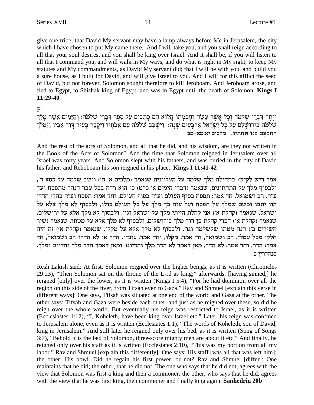give one tribe, that David My servant may have a lamp always before Me in Jerusalem, the city which I have chosen to put My name there. And I will take you, and you shall reign according to all that your soul desires, and you shall be king over Israel. And it shall be, if you will listen to all that I command you, and will walk in My ways, and do what is right in My sight, to keep My statutes and My commandments, as David My servant did; that I will be with you, and build you a sure house, as I built for David, and will give Israel to you. And I will for this afflict the seed of David, but not forever. Solomon sought therefore to kill Jeroboam. And Jeroboam arose, and fled to Egypt, to Shishak king of Egypt, and was in Egypt until the death of Solomon. Kings I  $11:29-40$ 

 $F_{1}$ 

וְיֵתֵר דִּבְרֵי שִׁלֹמֹה וְכָל אֲשֶׁר עָשָׂה וְחָכִמְתוֹ הֲלוֹא הֵם כִּתְבִים עַל סֵפֶר דִּבְרֵי שָׁלֹמֹה: וְהַיָּמִים אֲשֶׁר מָלַךְ שלמה בירוּשָׁלַם עַל כָל יִשְׂרָאֵל אַרְבָעִים שָׁנָה: וַיִּשְׁכַּב שָׁלֹמֹה עִם אֲבֹתָיו וַיִּקְבֵר בְּעִיר דְוִד אָבִיו וַיִּמְלֹךְ רחבעם בנו תחתיו: מלכים יא:מא-מב

And the rest of the acts of Solomon, and all that he did, and his wisdom, are they not written in the Book of the Acts of Solomon? And the time that Solomon reigned in Jerusalem over all Israel was forty years. And Solomon slept with his fathers, and was buried in the city of David his father; and Rehoboam his son reigned in his place. Kings I 11:41-42

אמר ריש לקיש: בתחילה מלך שלמה על העליונים שנאמר (מלכים א' ה') וישב שלמה על כסא ד', ולבסוף מלך על התחתונים, שנאמר (דברי הימים א׳ כ״ט) כי הוא רדה בכל עבר הנהר מתפסח ועד עזה. רב ושמואל, חד אמר: תפסח בסוף העולם ועזה בסוף העולם, וחד אמר: תפסח ועזה בהדי הדדי הוו יתבו וכשם שמלך על תפסח ועל עזה כך מלך על כל העולם כולו, ולבסוף לא מלך אלא על ישראל, שנאמר (קהלת א׳) אני קהלת הייתי מלך על ישראל וגו׳, ולבסוף לא מלך אלא על ירושלים, שנאמר (קהלת א') דברי קהלת בן דוד מלך בירושלים, ולבסוף לא מלך אלא על מטתו, שנאמר (שיר השירים ב׳) הנה מטתו שלשלמה וגו׳, ולבסוף לא מלך אלא על מקלו, שנאמר (קהלת א׳) זה היה חלקי מכל עמלי. רב ושמואל, חד אמר: מקלו, וחד אמר: גונדו. הדר או לא הדר? רב ושמואל, חד אמר: הדר, וחד אמר: לא הדר, מאן דאמר לא הדר מלך והדיוט, ומאן דאמר הדר מלך והדיוט ומלך. סנהדריו כ:

Resh Lakish said: At first, Solomon reigned over the higher beings, as it is written (Chronicles 29:23), "Then Solomon sat on the throne of the L-rd as king;" afterwards, [having sinned,] he reigned [only] over the lower, as it is written (Kings I 5:4), "For he had dominion over all the region on this side of the river, from Tifsah even to Gaza." Rav and Shmuel [explain this verse in different ways]: One says, Tifsah was situated at one end of the world and Gaza at the other. The other says: Tifsah and Gaza were beside each other, and just as he reigned over these, so did he reign over the whole world. But eventually his reign was restricted to Israel, as it is written (Ecclesiastes 1:12), "I, Koheleth, have been king over Israel etc." Later, his reign was confined to Jerusalem alone, even as it is written (Ecclesiates 1:1), "The words of Koheleth, son of David, king in Jerusalem." And still later he reigned only over his bed, as it is written (Song of Songs 3:7), "Behold it is the bed of Solomon, three-score mighty men are about it etc." And finally, he reigned only over his staff as it is written (Ecclesiates 2:10), "This was my portion from all my labor." Rav and Shmuel [explain this differently]: One says: His staff [was all that was left him]; the other: His bowl. Did he regain his first power, or not? Rav and Shmuel [differ]: One maintains that he did; the other, that he did not. The one who says that he did not, agrees with the view that Solomon was first a king and then a commoner; the other, who says that he did, agrees with the view that he was first king, then commoner and finally king again. Sanhedrin 20b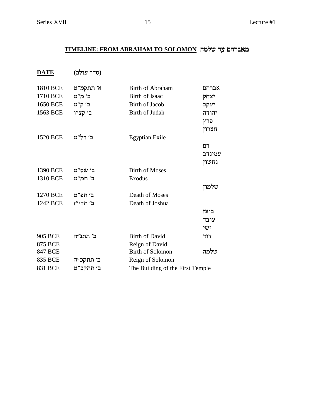# TIMELINE: FROM ABRAHAM TO SOLOMON מאברהם עד שלמה

(סדר עולם) **DATE** 

| 1810 BCE       | א׳ תתקמ״ט | Birth of Abraham                 | אברהם                 |  |
|----------------|-----------|----------------------------------|-----------------------|--|
| 1710 BCE       | ב׳ מ״ט    | Birth of Isaac                   | יצחק                  |  |
| 1650 BCE       | ב' ק"ט    | <b>Birth of Jacob</b>            | יעקב                  |  |
| 1563 BCE       | ב׳ קצ״ו   | Birth of Judah                   | יהודה<br>פרץ<br>חצרון |  |
| 1520 BCE       | ב׳ רל״ט   | <b>Egyptian Exile</b>            |                       |  |
|                |           |                                  | רם                    |  |
|                |           |                                  | עמינדב                |  |
|                |           |                                  | נחשון                 |  |
| 1390 BCE       | ב׳ שס״ט   | <b>Birth of Moses</b>            |                       |  |
| 1310 BCE       | ב׳ תמ״ט   | Exodus                           |                       |  |
|                |           |                                  | שלמון                 |  |
| 1270 BCE       | ב׳ תפ״ט   | Death of Moses                   |                       |  |
| 1242 BCE       | ב' תקי״ז  | Death of Joshua                  |                       |  |
|                |           |                                  | בועז                  |  |
|                |           |                                  | עובד                  |  |
|                |           |                                  | ישי                   |  |
| <b>905 BCE</b> | ב׳ תתנ״ה  | <b>Birth of David</b>            | דוד                   |  |
| <b>875 BCE</b> |           | Reign of David                   |                       |  |
| <b>847 BCE</b> |           | <b>Birth of Solomon</b>          | שלמה                  |  |
| 835 BCE        | ב׳ תתקכ״ה | Reign of Solomon                 |                       |  |
| <b>831 BCE</b> | ב׳ תתקכ״ט | The Building of the First Temple |                       |  |
|                |           |                                  |                       |  |